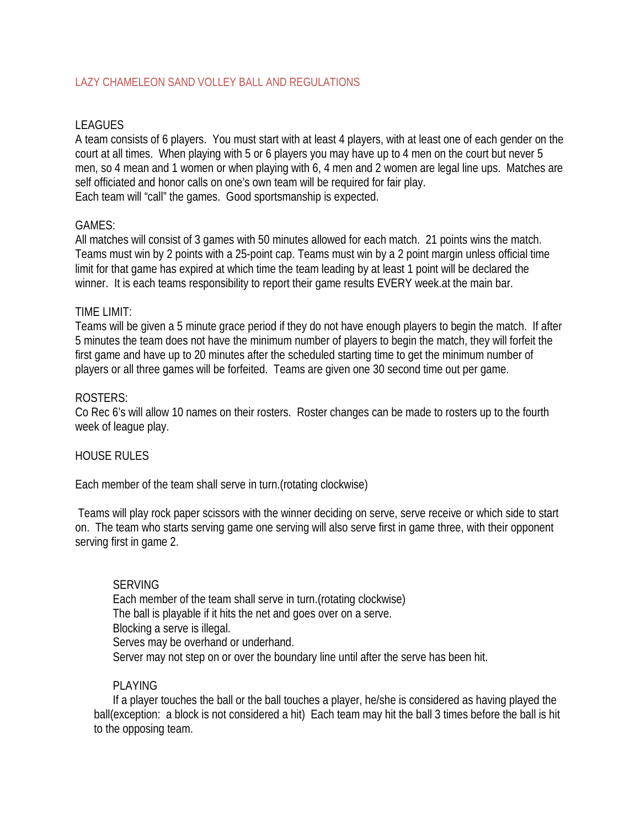# LAZY CHAMELEON SAND VOLLEY BALL AND REGULATIONS

# LEAGUES

A team consists of 6 players. You must start with at least 4 players, with at least one of each gender on the court at all times. When playing with 5 or 6 players you may have up to 4 men on the court but never 5 men, so 4 mean and 1 women or when playing with 6, 4 men and 2 women are legal line ups. Matches are self officiated and honor calls on one's own team will be required for fair play. Each team will "call" the games. Good sportsmanship is expected.

# GAMES:

All matches will consist of 3 games with 50 minutes allowed for each match. 21 points wins the match. Teams must win by 2 points with a 25-point cap. Teams must win by a 2 point margin unless official time limit for that game has expired at which time the team leading by at least 1 point will be declared the winner. It is each teams responsibility to report their game results EVERY week.at the main bar.

### TIME LIMIT:

Teams will be given a 5 minute grace period if they do not have enough players to begin the match. If after 5 minutes the team does not have the minimum number of players to begin the match, they will forfeit the first game and have up to 20 minutes after the scheduled starting time to get the minimum number of players or all three games will be forfeited. Teams are given one 30 second time out per game.

### ROSTERS:

Co Rec 6's will allow 10 names on their rosters. Roster changes can be made to rosters up to the fourth week of league play.

# HOUSE RULES

Each member of the team shall serve in turn.(rotating clockwise)

Teams will play rock paper scissors with the winner deciding on serve, serve receive or which side to start on. The team who starts serving game one serving will also serve first in game three, with their opponent serving first in game 2.

#### SERVING

Each member of the team shall serve in turn.(rotating clockwise) The ball is playable if it hits the net and goes over on a serve. Blocking a serve is illegal. Serves may be overhand or underhand. Server may not step on or over the boundary line until after the serve has been hit.

### PLAYING

If a player touches the ball or the ball touches a player, he/she is considered as having played the ball(exception: a block is not considered a hit) Each team may hit the ball 3 times before the ball is hit to the opposing team.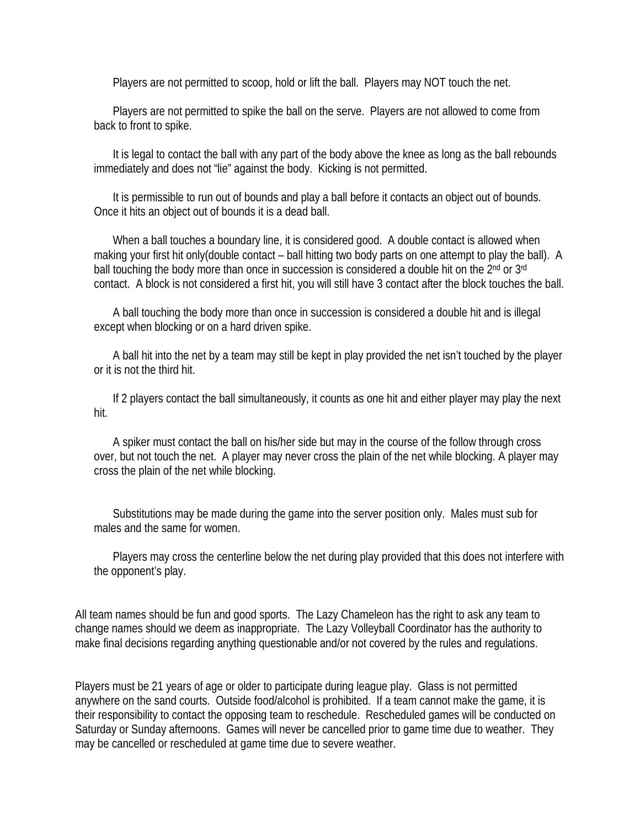Players are not permitted to scoop, hold or lift the ball. Players may NOT touch the net.

Players are not permitted to spike the ball on the serve. Players are not allowed to come from back to front to spike.

It is legal to contact the ball with any part of the body above the knee as long as the ball rebounds immediately and does not "lie" against the body. Kicking is not permitted.

It is permissible to run out of bounds and play a ball before it contacts an object out of bounds. Once it hits an object out of bounds it is a dead ball.

When a ball touches a boundary line, it is considered good. A double contact is allowed when making your first hit only(double contact – ball hitting two body parts on one attempt to play the ball). A ball touching the body more than once in succession is considered a double hit on the 2<sup>nd</sup> or 3<sup>rd</sup> contact. A block is not considered a first hit, you will still have 3 contact after the block touches the ball.

A ball touching the body more than once in succession is considered a double hit and is illegal except when blocking or on a hard driven spike.

A ball hit into the net by a team may still be kept in play provided the net isn't touched by the player or it is not the third hit.

If 2 players contact the ball simultaneously, it counts as one hit and either player may play the next hit.

A spiker must contact the ball on his/her side but may in the course of the follow through cross over, but not touch the net. A player may never cross the plain of the net while blocking. A player may cross the plain of the net while blocking.

Substitutions may be made during the game into the server position only. Males must sub for males and the same for women.

Players may cross the centerline below the net during play provided that this does not interfere with the opponent's play.

All team names should be fun and good sports. The Lazy Chameleon has the right to ask any team to change names should we deem as inappropriate. The Lazy Volleyball Coordinator has the authority to make final decisions regarding anything questionable and/or not covered by the rules and regulations.

Players must be 21 years of age or older to participate during league play. Glass is not permitted anywhere on the sand courts. Outside food/alcohol is prohibited. If a team cannot make the game, it is their responsibility to contact the opposing team to reschedule. Rescheduled games will be conducted on Saturday or Sunday afternoons. Games will never be cancelled prior to game time due to weather. They may be cancelled or rescheduled at game time due to severe weather.